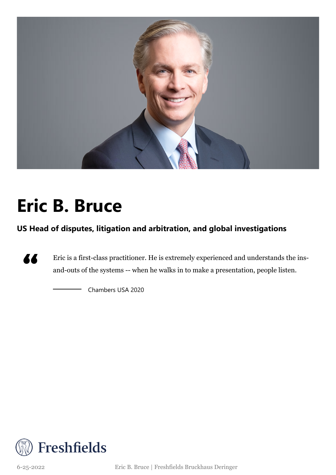

## **Eric B. Bruce**

**US Head of disputes, litigation and arbitration, and global investigations**



Eric is a first-class practitioner. He is extremely experienced and understands the insand-outs of the systems -- when he walks in to make a presentation, people listen.

Chambers USA 2020



6-25-2022 Eric B. Bruce | Freshfields Bruckhaus Deringer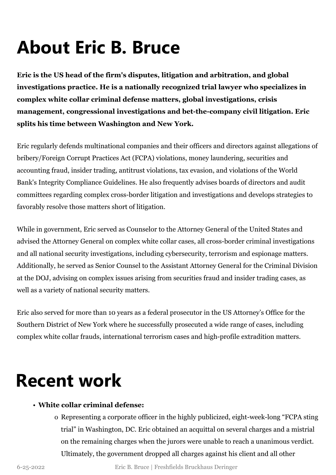# **About Eric B. Bruce**

**Eric is the US head of the firm's disputes, litigation and arbitration, and global investigations practice. He is a nationally recognized trial lawyer who specializes in complex white collar criminal defense matters, global investigations, crisis management, congressional investigations and bet-the-company civil litigation. Eric splits his time between Washington and New York.**

Eric regularly defends multinational companies and their officers and directors against allegations of bribery/Foreign Corrupt Practices Act (FCPA) violations, money laundering, securities and accounting fraud, insider trading, antitrust violations, tax evasion, and violations of the World Bank's Integrity Compliance Guidelines. He also frequently advises boards of directors and audit committees regarding complex cross-border litigation and investigations and develops strategies to favorably resolve those matters short of litigation.

While in government, Eric served as Counselor to the Attorney General of the United States and advised the Attorney General on complex white collar cases, all cross-border criminal investigations and all national security investigations, including cybersecurity, terrorism and espionage matters. Additionally, he served as Senior Counsel to the Assistant Attorney General for the Criminal Division at the DOJ, advising on complex issues arising from securities fraud and insider trading cases, as well as a variety of national security matters.

Eric also served for more than 10 years as a federal prosecutor in the US Attorney's Office for the Southern District of New York where he successfully prosecuted a wide range of cases, including complex white collar frauds, international terrorism cases and high-profile extradition matters.

### **Recent work**

#### • **White collar criminal defense:**

o Representing a corporate officer in the highly publicized, eight-week-long "FCPA sting trial" in Washington, DC. Eric obtained an acquittal on several charges and a mistrial on the remaining charges when the jurors were unable to reach a unanimous verdict. Ultimately, the government dropped all charges against his client and all other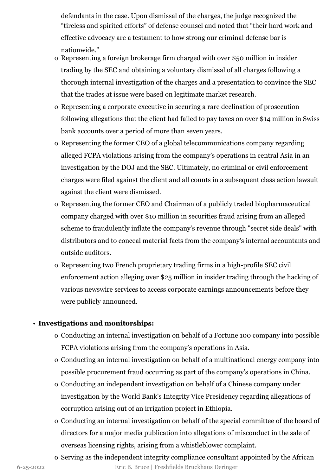defendants in the case. Upon dismissal of the charges, the judge recognized the "tireless and spirited efforts" of defense counsel and noted that "their hard work and effective advocacy are a testament to how strong our criminal defense bar is nationwide."

- o Representing a foreign brokerage firm charged with over \$50 million in insider trading by the SEC and obtaining a voluntary dismissal of all charges following a thorough internal investigation of the charges and a presentation to convince the SEC that the trades at issue were based on legitimate market research.
- o Representing a corporate executive in securing a rare declination of prosecution following allegations that the client had failed to pay taxes on over \$14 million in Swiss bank accounts over a period of more than seven years.
- o Representing the former CEO of a global telecommunications company regarding alleged FCPA violations arising from the company's operations in central Asia in an investigation by the DOJ and the SEC. Ultimately, no criminal or civil enforcement charges were filed against the client and all counts in a subsequent class action lawsuit against the client were dismissed.
- o Representing the former CEO and Chairman of a publicly traded biopharmaceutical company charged with over \$10 million in securities fraud arising from an alleged scheme to fraudulently inflate the company's revenue through "secret side deals" with distributors and to conceal material facts from the company's internal accountants and outside auditors.
- o Representing two French proprietary trading firms in a high-profile SEC civil enforcement action alleging over \$25 million in insider trading through the hacking of various newswire services to access corporate earnings announcements before they were publicly announced.

#### • **Investigations and monitorships:**

- o Conducting an internal investigation on behalf of a Fortune 100 company into possible FCPA violations arising from the company's operations in Asia.
- o Conducting an internal investigation on behalf of a multinational energy company into possible procurement fraud occurring as part of the company's operations in China.
- o Conducting an independent investigation on behalf of a Chinese company under investigation by the World Bank's Integrity Vice Presidency regarding allegations of corruption arising out of an irrigation project in Ethiopia.
- o Conducting an internal investigation on behalf of the special committee of the board of directors for a major media publication into allegations of misconduct in the sale of overseas licensing rights, arising from a whistleblower complaint.
- o Serving as the independent integrity compliance consultant appointed by the African 6-25-2022 Eric B. Bruce | Freshfields Bruckhaus Deringer